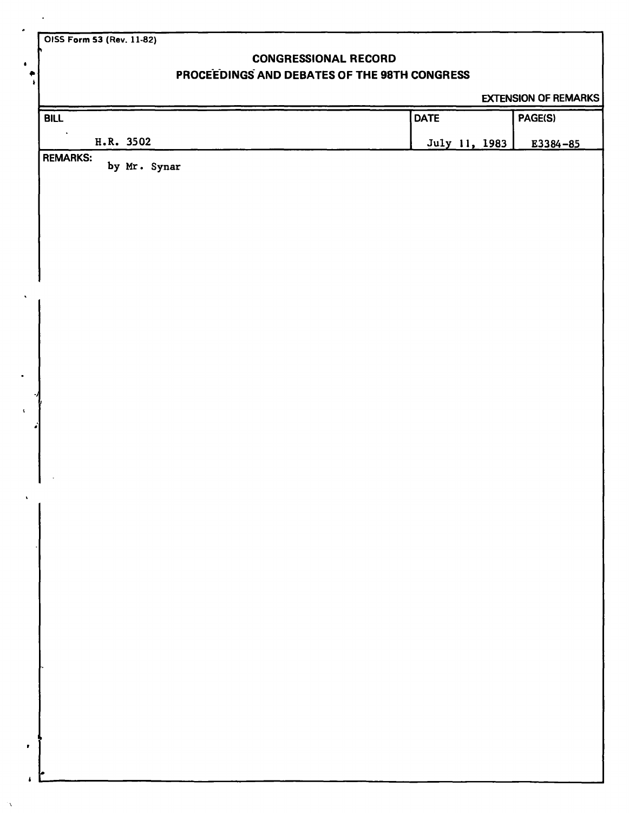**OISS Form S3 (Rev. 11-82)** 

7

## **CONGRESSIONAL RECORD**

## **PROCEEDINGS AND DEBATES OF THE 98TH CONGRESS**

EXTENSION OF REMARKS

| <b>BILL</b>                     | <b>DATE</b>   | PAGE(S)      |
|---------------------------------|---------------|--------------|
| $\bullet$<br>H.R. 3502          | July 11, 1983 | $E3384 - 85$ |
| <b>REMARKS:</b><br>by Mr. Synar |               |              |
|                                 |               |              |
|                                 |               |              |
|                                 |               |              |
|                                 |               |              |
|                                 |               |              |
|                                 |               |              |
|                                 |               |              |
|                                 |               |              |
|                                 |               |              |
|                                 |               |              |
|                                 |               |              |
|                                 |               |              |
|                                 |               |              |
|                                 |               |              |
|                                 |               |              |
|                                 |               |              |
|                                 |               |              |
|                                 |               |              |
|                                 |               |              |
|                                 |               |              |
|                                 |               |              |
|                                 |               |              |
|                                 |               |              |
|                                 |               |              |
|                                 |               |              |
|                                 |               |              |
|                                 |               |              |
|                                 |               |              |
|                                 |               |              |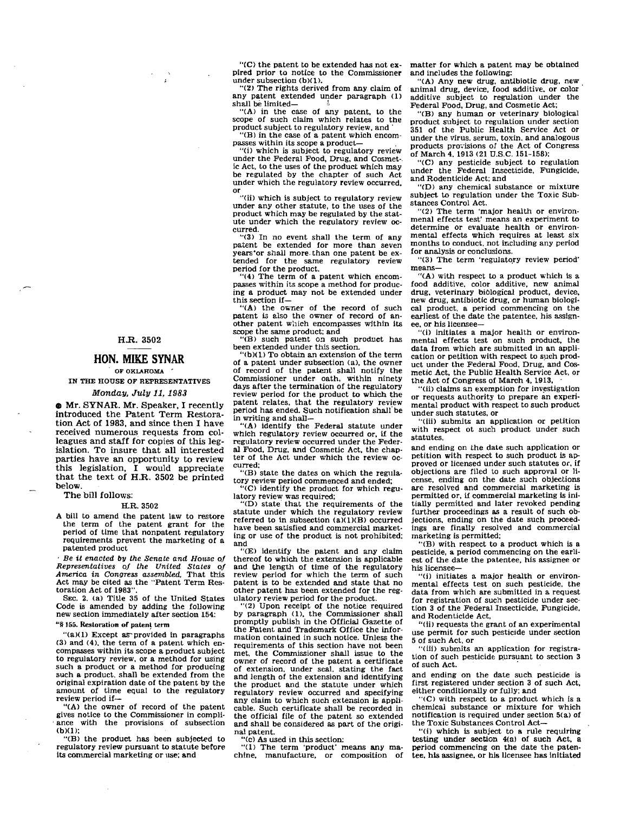H.R. 3502

## **HON. MIKE SYNAR**

OF OKLAHOMA IN THE **HOUSE** OF REPRESENTATIVES Monday, July 11,1983

@ Mr. SYNAR. Mr. Speaker, I recently introduced the Patent Term Restoration Act of 1983, and since then I have received numerous requests from colleagues and staff for copies of this legislation. To insure that all interested parties have an opportunity to review this legislation, I would appreciate that the text of H.R. **3502** be printed below.

The bill follows:

**XR.** 3502

A bill to amend the patent law to restore the term of the patent grant for the period of time that nonpatent regulatory requirements prevent the marketing of a patented product

\* Be **it** enacted by the Senate and Home of Representatives of the United States of America in Congress assembled, That this Act may be cited as the "Patent Term Restoration Act of 1983".

SEC. 2. (a) Title 35 of the United States Code **is** amended by adding the following new section immediately after section 154: "@ 165. Restoration **of** paten! term

" $(a)(1)$  Except as provided in paragraphs

**(3)** and (4). the term of a patent which en- compasses within its scope a product subject to regulatory review. or a method for using such a product or a method for producing such a product, shall be extended from the original expiration date of the patent by the amount of time equal to the regulatory review period if-

"(A) the owner of record of the patent gives notice to the Commissioner in compliance with the provisions of subsection (b)(l);

"(B) the product has been subjected to regulatory review pursuant to statute before its commercial marketing or use; and

"(C) the patent to be extended has not ex- pired prior to notice to the Commissioner under subsection (b)(l).

**"(4)** The rights derived **from** any claim of any patent extended under paragraph (1) shall be limited—

"(A) in the case of any patent, to the scope of such claim which relates to the product subject to regulatory review, and

"(B) in the case of a patent which encom-<br>passes within its scope a product-<br>"(i) which is subject to regulatory review"

under the Federal Food, Drug. and Cosmet-. ic Act. to the uses of the product which may be regulated by the chapter of such Act under which the regulatory review occurred. **a-**  0**r** 

"(ii) which is subject to regulatory review under any other statute, to the uses of the product which may be regulated by the statute under which the regulatory review **oc-** curred.

 $\frac{60}{3}$  In no event shall the term of any patent be extended for more than seven years'or shall more than one patent be ex-<br>tended for the same regulatory review period for the product.<br>"(4) The term of a patent which encom-

passes within its scope a method for producing a product may not be extended under this section if-

"(A) the owner of the record of such<br>natent is also the owner of record of another patent which encompasses within its scope the same product; and

"(B) such patent **on** such product has been extended under this section

"( $b(1)$ ) To obtain an extension of the term of a patent under subsection (a), the owner of record of the patent shall notify the Commissioner under oath, within ninety days after the termination of the regulatory review period for the product to which the patent relates, that the regulatory review period has ended. Such notification shall be in writing and shall-

"(A) identify the Federal statute under which regulatory review occurred or, if the regulatory review occurred under the Federal Food. **Drug,** and Cosmetic Act, the chapter of the Act under which the review occurred:

"(B) state the dates on which the regulatory review period commenced and ended;

"(C) identify the product for which regu- latory review **was** required;

"(D) state that the requirements of the statute under which the regulatory review referred to in subsection  $(a)(1)(B)$  occurred have been satisfied and commercial marketing or use of the product is not prohibited; and

"(E) identify the patent and any claim<br>thereof to which the extension is applicable and the length of time of the regulatory review period for which the term of such patent is to be extended and state that no other patent has been extended for the regulatory review period for the product.

"(2) Upon receipt of the notice required by paragraph (1). the Commissioner shall promptly publish in the Official Gazette of the Patent and Trademark Office the information contained in such notice. Unless the requirements of this section have not been<br>met, the Commissioner shall issue to the owner of record of the patent a certificate of extension. under seal, stating the fact and length of the extension and identifying the product and the statute under which regulatory review occurred and specifying any claim to which such extension is applicable. Such certificate shall be recorded in the official file of the patent so extended and shall be considered **as** part of the original patent.

"(c) As used in this section:

"(1) The term 'product' means any ma- chine, manufacture, or composition of

matter for whlch a patent may be obtalncd and includes the following:

"(A) Any new drug, antibiotic drug, new animal drug, device, food sdditive. or color additive subject to regulation under the Federal Food, Drug, and Cosmetic Act;

"(B) any human or veterinary biological product subject to regulation under section 351 of the Public Health Service Act or under the virus. serum, toxin, and analogous products provisions of the Act of Congress of March 4. 1913 (21 U.S.C. 151-158);

"(C) any pesticide subject to regulation under the Federnl Insecticide. Fungicide. and Rodenticide Act; and

"(D) any chemical substance or mixture subject to regulation under the Toxic Substances Control Act.

"(2) The term 'major health or environmenal effects test' means an experiment to determine or evaluate health or environmental effects which requires at least six months to conduct. not including any period for analysis or conclusions.

"(3) The term 'regulatory review period'<br>means-<br>"(A) with respect to a product which is a

food additive, color additive, new animal drug, veterinary biological product, device, new drug, antibiotic drug, or human biological product, a period commencing on the earliest of the date the patentee, his assign-<br>ee. or his licensee-

"(i) initiates a major health or environmental effects test on such product, the data from which are submitted in an application or petition with respect to such product under the Federal Food. Drug, and Cosmetic Act, the Public Health Service Act, or the Act of Congress of March 4. 1913. .

"(ii) claims an exemption for investigation or requests authority to prepare an experimental product with respect to such product<br>under such statutes, or

(iii) submits an application or petition with respect ot such product under such statutes.

and ending on the date such application or petition with respect to such product is ap proved or licensed under such statutes or, if<br>objections are filed to such approval or license, ending on the date such objections are resolved and commercial marketing is permitted or. if commercial marketing is initially permitted and later revoked pending further proceedings **ss** a result of such objections. ending on the date such proceedings are finally resolved and commercial marketing is permitted;

"(B) with respect to a product which is a pesticide, a period commencing on the earliest of the date the patentee, his assignee or his licensee-

"(i) initiates a major health or environmental effects test on such pesticide, the data from which are submitted in a request<br>for registration of such pesticide under secfor registration of the Federal Insecticide, Fungicide,

and Rodenticide Act,<br>"(ii) requests the grant of an experimental use permit for such pesticide under section<br>5 of such Act, or

"(iii) submits an application for registration of such pesticide pursuant to section 3 of such Act.

and ending on the date such pesticide is first registered under section 3 of such Act.

either conditionally or fully; and<br>"(C) with respect to a product which is a chemical substance or mixture for which notification is required under section 5(a) of the Toxic Substances Control Act-

"(i) which is subject to a rule requiring testing under section  $4(a)$  of such Act, a period commencing on the date the patentee, his assignee, or his licensee has initiated